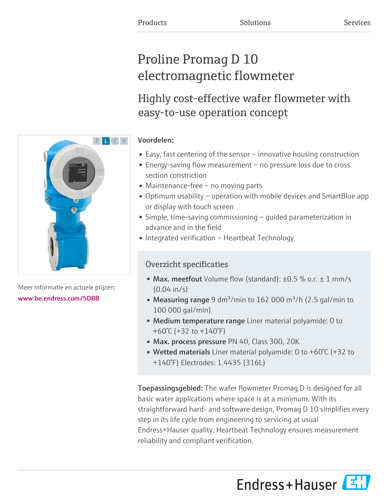# Proline Promag D 10 electromagnetic flowmeter

Highly cost-effective wafer flowmeter with easy-to-use operation concept

# Voordelen:

- Easy, fast centering of the sensor innovative housing construction
- Energy-saving flow measurement no pressure loss due to cross section constriction
- Maintenance-free no moving parts
- Optimum usability operation with mobile devices and SmartBlue app or display with touch screen
- Simple, time-saving commissioning guided parameterization in advance and in the field
- Integrated verification Heartbeat Technology

# Overzicht specificaties

- Max. meetfout Volume flow (standard):  $\pm 0.5$  % o.r.  $\pm$  1 mm/s (0.04 in/s)
- Measuring range 9 dm<sup>3</sup>/min to 162 000 m<sup>3</sup>/h (2.5 gal/min to 100 000 gal/min)
- Medium temperature range Liner material polyamide: 0 to +60°C (+32 to +140°F)
- Max. process pressure PN 40, Class 300, 20K
- Wetted materials Liner material polyamide: 0 to +60°C (+32 to +140°F) Electrodes: 1.4435 (316L)

Toepassingsgebied: The wafer flowmeter Promag D is designed for all basic water applications where space is at a minimum. With its straightforward hard- and software design, Promag D 10 simplifies every step in its life cycle from engineering to servicing at usual Endress+Hauser quality. Heartbeat Technology ensures measurement reliability and compliant verification.





Meer informatie en actuele prijzen: [www.be.endress.com/5DBB](https://www.be.endress.com/5DBB)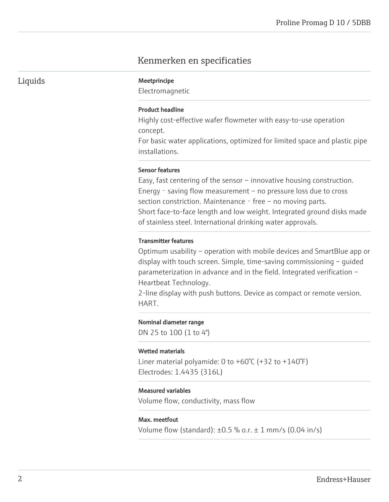# Kenmerken en specificaties

Liquids Meetprincipe

Electromagnetic

# Product headline

Highly cost-effective wafer flowmeter with easy-to-use operation concept.

For basic water applications, optimized for limited space and plastic pipe installations.

# Sensor features

Easy, fast centering of the sensor – innovative housing construction. Energy - saving flow measurement – no pressure loss due to cross section constriction. Maintenance  $-$  free  $-$  no moving parts. Short face-to-face length and low weight. Integrated ground disks made of stainless steel. International drinking water approvals.

# Transmitter features

Optimum usability – operation with mobile devices and SmartBlue app or display with touch screen. Simple, time-saving commissioning – guided parameterization in advance and in the field. Integrated verification – Heartbeat Technology.

2-line display with push buttons. Device as compact or remote version. HART.

#### Nominal diameter range

DN 25 to 100 (1 to 4")

#### Wetted materials

Liner material polyamide: 0 to  $+60^{\circ}$ C ( $+32$  to  $+140^{\circ}$ F) Electrodes: 1.4435 (316L)

# Measured variables

Volume flow, conductivity, mass flow

# Max. meetfout

Volume flow (standard):  $\pm 0.5$  % o.r.  $\pm$  1 mm/s (0.04 in/s)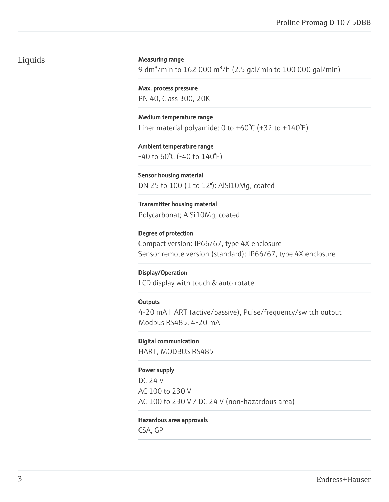# Liquids

# Measuring range

9 dm<sup>3</sup>/min to 162 000 m<sup>3</sup>/h (2.5 gal/min to 100 000 gal/min)

Max. process pressure PN 40, Class 300, 20K

Medium temperature range Liner material polyamide: 0 to +60°C (+32 to +140°F)

Ambient temperature range -40 to 60°C (-40 to 140°F)

Sensor housing material DN 25 to 100 (1 to 12"): AlSi10Mg, coated

Transmitter housing material Polycarbonat; AlSi10Mg, coated

Degree of protection Compact version: IP66/67, type 4X enclosure Sensor remote version (standard): IP66/67, type 4X enclosure

# Display/Operation

LCD display with touch & auto rotate

# **Outputs**

4-20 mA HART (active/passive), Pulse/frequency/switch output Modbus RS485, 4-20 mA

# Digital communication

HART, MODBUS RS485

# Power supply

DC 24 V AC 100 to 230 V AC 100 to 230 V / DC 24 V (non-hazardous area)

# Hazardous area approvals

CSA, GP